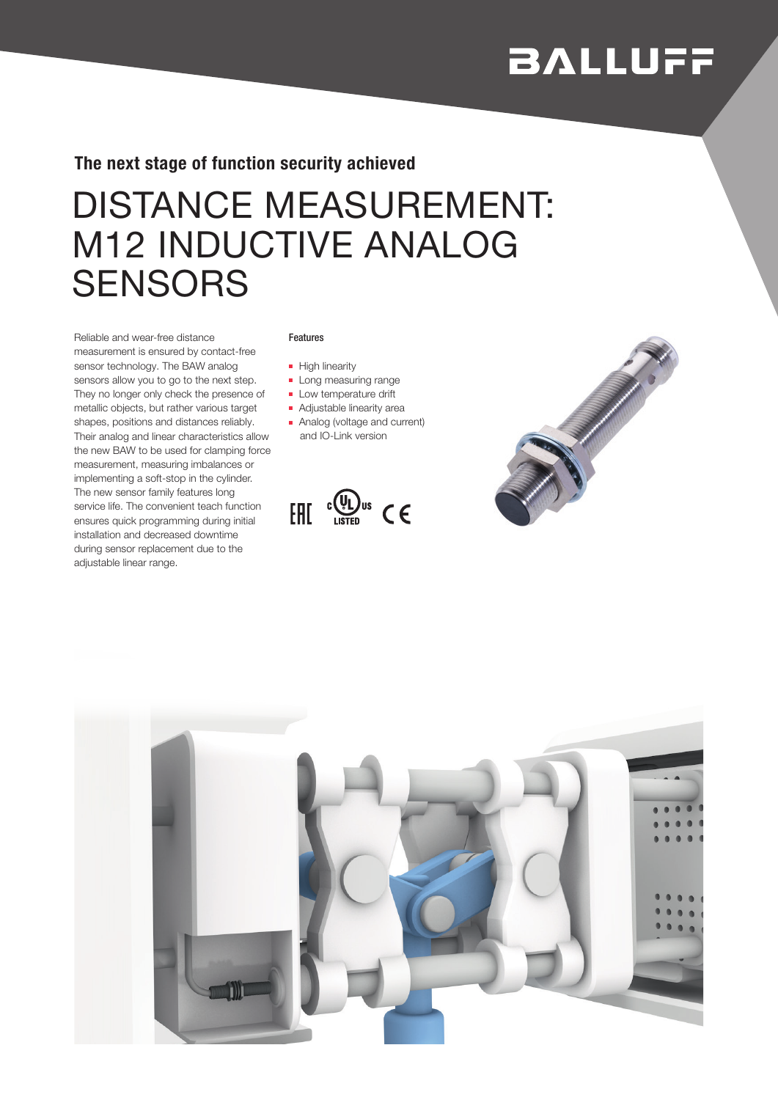# **BALLUFF**

The next stage of function security achieved

## DISTANCE MEASUREMENT: M12 INDUCTIVE ANALOG **SENSORS**

Reliable and wear-free distance measurement is ensured by contact-free sensor technology. The BAW analog sensors allow you to go to the next step. They no longer only check the presence of metallic objects, but rather various target shapes, positions and distances reliably. Their analog and linear characteristics allow the new BAW to be used for clamping force measurement, measuring imbalances or implementing a soft-stop in the cylinder. The new sensor family features long service life. The convenient teach function ensures quick programming during initial installation and decreased downtime during sensor replacement due to the adjustable linear range.

#### Features

- High linearity
- Long measuring range
- Low temperature drift
- Adjustable linearity area
- Analog (voltage and current) and IO-Link version